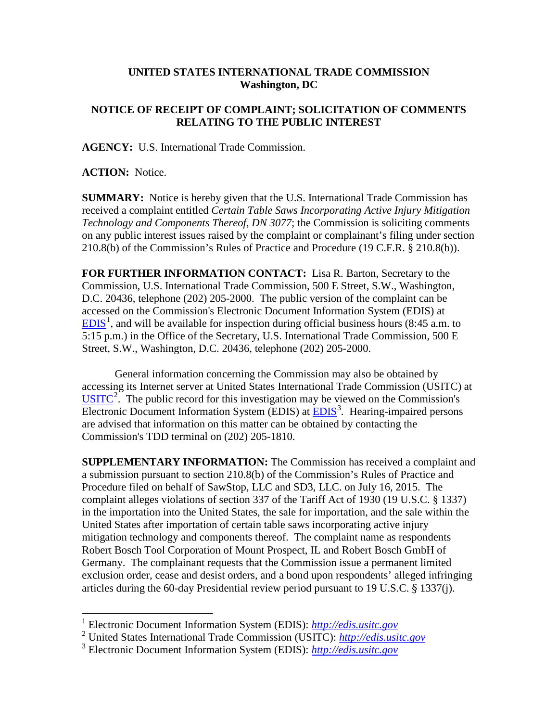## **UNITED STATES INTERNATIONAL TRADE COMMISSION Washington, DC**

## **NOTICE OF RECEIPT OF COMPLAINT; SOLICITATION OF COMMENTS RELATING TO THE PUBLIC INTEREST**

**AGENCY:** U.S. International Trade Commission.

**ACTION:** Notice.

**SUMMARY:** Notice is hereby given that the U.S. International Trade Commission has received a complaint entitled *Certain Table Saws Incorporating Active Injury Mitigation Technology and Components Thereof, DN 3077*; the Commission is soliciting comments on any public interest issues raised by the complaint or complainant's filing under section 210.8(b) of the Commission's Rules of Practice and Procedure (19 C.F.R. § 210.8(b)).

**FOR FURTHER INFORMATION CONTACT:** Lisa R. Barton, Secretary to the Commission, U.S. International Trade Commission, 500 E Street, S.W., Washington, D.C. 20436, telephone (202) 205-2000. The public version of the complaint can be accessed on the Commission's Electronic Document Information System (EDIS) at  $EDIS<sup>1</sup>$  $EDIS<sup>1</sup>$  $EDIS<sup>1</sup>$  $EDIS<sup>1</sup>$ , and will be available for inspection during official business hours (8:45 a.m. to 5:15 p.m.) in the Office of the Secretary, U.S. International Trade Commission, 500 E Street, S.W., Washington, D.C. 20436, telephone (202) 205-2000.

General information concerning the Commission may also be obtained by accessing its Internet server at United States International Trade Commission (USITC) at  $\overline{USTTC}^2$  $\overline{USTTC}^2$ . The public record for this investigation may be viewed on the Commission's Electronic Document Information System (EDIS) at **EDIS**<sup>[3](#page-0-2)</sup>. Hearing-impaired persons are advised that information on this matter can be obtained by contacting the Commission's TDD terminal on (202) 205-1810.

**SUPPLEMENTARY INFORMATION:** The Commission has received a complaint and a submission pursuant to section 210.8(b) of the Commission's Rules of Practice and Procedure filed on behalf of SawStop, LLC and SD3, LLC. on July 16, 2015. The complaint alleges violations of section 337 of the Tariff Act of 1930 (19 U.S.C. § 1337) in the importation into the United States, the sale for importation, and the sale within the United States after importation of certain table saws incorporating active injury mitigation technology and components thereof. The complaint name as respondents Robert Bosch Tool Corporation of Mount Prospect, IL and Robert Bosch GmbH of Germany. The complainant requests that the Commission issue a permanent limited exclusion order, cease and desist orders, and a bond upon respondents' alleged infringing articles during the 60-day Presidential review period pursuant to 19 U.S.C. § 1337(j).

<span id="page-0-0"></span> <sup>1</sup> Electronic Document Information System (EDIS): *[http://edis.usitc.gov](http://edis.usitc.gov/)*

<span id="page-0-1"></span><sup>2</sup> United States International Trade Commission (USITC): *[http://edis.usitc.gov](http://edis.usitc.gov/)*

<span id="page-0-2"></span><sup>3</sup> Electronic Document Information System (EDIS): *[http://edis.usitc.gov](http://edis.usitc.gov/)*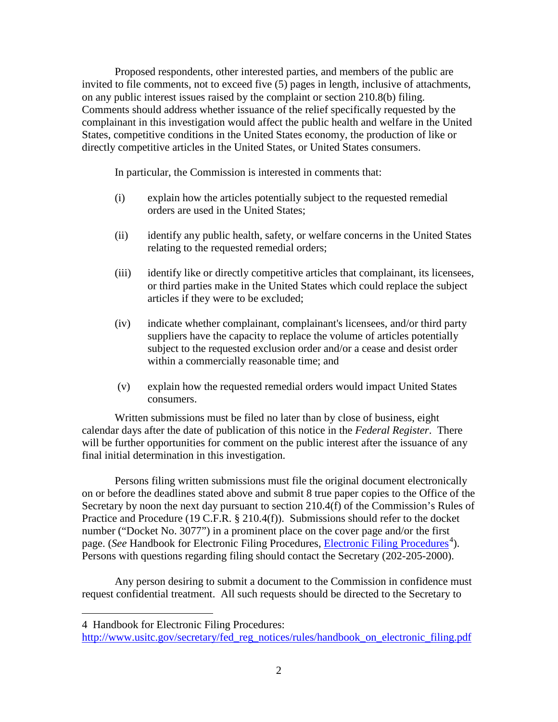Proposed respondents, other interested parties, and members of the public are invited to file comments, not to exceed five (5) pages in length, inclusive of attachments, on any public interest issues raised by the complaint or section 210.8(b) filing. Comments should address whether issuance of the relief specifically requested by the complainant in this investigation would affect the public health and welfare in the United States, competitive conditions in the United States economy, the production of like or directly competitive articles in the United States, or United States consumers.

In particular, the Commission is interested in comments that:

- (i) explain how the articles potentially subject to the requested remedial orders are used in the United States;
- (ii) identify any public health, safety, or welfare concerns in the United States relating to the requested remedial orders;
- (iii) identify like or directly competitive articles that complainant, its licensees, or third parties make in the United States which could replace the subject articles if they were to be excluded;
- (iv) indicate whether complainant, complainant's licensees, and/or third party suppliers have the capacity to replace the volume of articles potentially subject to the requested exclusion order and/or a cease and desist order within a commercially reasonable time; and
- (v) explain how the requested remedial orders would impact United States consumers.

Written submissions must be filed no later than by close of business, eight calendar days after the date of publication of this notice in the *Federal Register*. There will be further opportunities for comment on the public interest after the issuance of any final initial determination in this investigation.

Persons filing written submissions must file the original document electronically on or before the deadlines stated above and submit 8 true paper copies to the Office of the Secretary by noon the next day pursuant to section 210.4(f) of the Commission's Rules of Practice and Procedure (19 C.F.R. § 210.4(f)). Submissions should refer to the docket number ("Docket No. 3077") in a prominent place on the cover page and/or the first page. (*See* Handbook for [Electronic Filing Procedures](http://www.usitc.gov/secretary/fed_reg_notices/rules/handbook_on_electronic_filing.pdf), *Electronic Filing Procedures*<sup>[4](#page-1-0)</sup>). Persons with questions regarding filing should contact the Secretary (202-205-2000).

Any person desiring to submit a document to the Commission in confidence must request confidential treatment. All such requests should be directed to the Secretary to

 $\overline{a}$ 

<span id="page-1-0"></span><sup>4</sup> Handbook for Electronic Filing Procedures:

http://www.usitc.gov/secretary/fed\_reg\_notices/rules/handbook\_on\_electronic\_filing.pdf